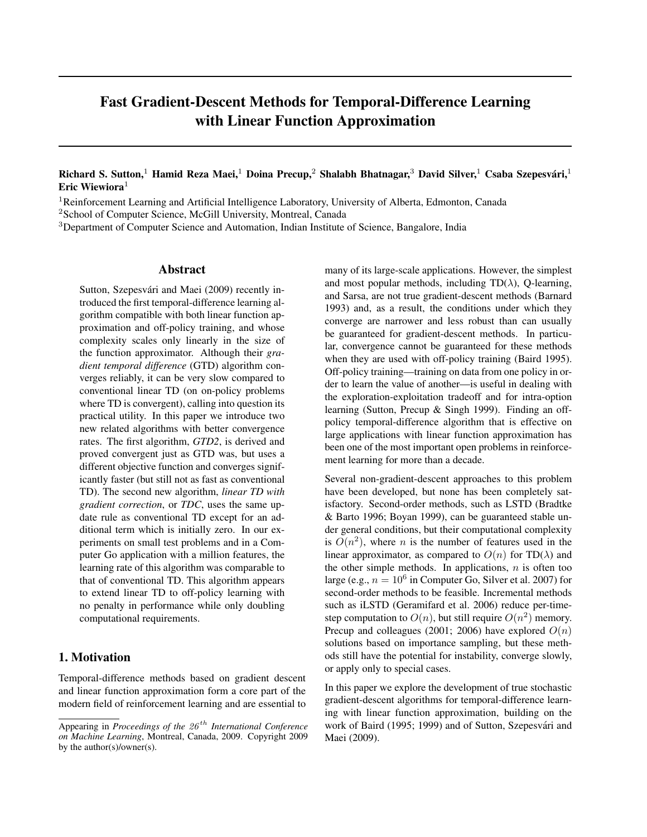# Fast Gradient-Descent Methods for Temporal-Difference Learning with Linear Function Approximation

## Richard S. Sutton,<sup>1</sup> Hamid Reza Maei,<sup>1</sup> Doina Precup,<sup>2</sup> Shalabh Bhatnagar,<sup>3</sup> David Silver,<sup>1</sup> Csaba Szepesvári,<sup>1</sup> Eric Wiewiora $1$

<sup>1</sup>Reinforcement Learning and Artificial Intelligence Laboratory, University of Alberta, Edmonton, Canada

<sup>2</sup>School of Computer Science, McGill University, Montreal, Canada

<sup>3</sup>Department of Computer Science and Automation, Indian Institute of Science, Bangalore, India

#### Abstract

Sutton, Szepesvári and Maei (2009) recently introduced the first temporal-difference learning algorithm compatible with both linear function approximation and off-policy training, and whose complexity scales only linearly in the size of the function approximator. Although their *gradient temporal difference* (GTD) algorithm converges reliably, it can be very slow compared to conventional linear TD (on on-policy problems where TD is convergent), calling into question its practical utility. In this paper we introduce two new related algorithms with better convergence rates. The first algorithm, *GTD2*, is derived and proved convergent just as GTD was, but uses a different objective function and converges significantly faster (but still not as fast as conventional TD). The second new algorithm, *linear TD with gradient correction*, or *TDC*, uses the same update rule as conventional TD except for an additional term which is initially zero. In our experiments on small test problems and in a Computer Go application with a million features, the learning rate of this algorithm was comparable to that of conventional TD. This algorithm appears to extend linear TD to off-policy learning with no penalty in performance while only doubling computational requirements.

# 1. Motivation

Temporal-difference methods based on gradient descent and linear function approximation form a core part of the modern field of reinforcement learning and are essential to

many of its large-scale applications. However, the simplest and most popular methods, including  $TD(\lambda)$ , Q-learning, and Sarsa, are not true gradient-descent methods (Barnard 1993) and, as a result, the conditions under which they converge are narrower and less robust than can usually be guaranteed for gradient-descent methods. In particular, convergence cannot be guaranteed for these methods when they are used with off-policy training (Baird 1995). Off-policy training—training on data from one policy in order to learn the value of another—is useful in dealing with the exploration-exploitation tradeoff and for intra-option learning (Sutton, Precup & Singh 1999). Finding an offpolicy temporal-difference algorithm that is effective on large applications with linear function approximation has been one of the most important open problems in reinforcement learning for more than a decade.

Several non-gradient-descent approaches to this problem have been developed, but none has been completely satisfactory. Second-order methods, such as LSTD (Bradtke & Barto 1996; Boyan 1999), can be guaranteed stable under general conditions, but their computational complexity is  $O(n^2)$ , where *n* is the number of features used in the linear approximator, as compared to  $O(n)$  for TD( $\lambda$ ) and the other simple methods. In applications,  $n$  is often too large (e.g.,  $n = 10^6$  in Computer Go, Silver et al. 2007) for second-order methods to be feasible. Incremental methods such as iLSTD (Geramifard et al. 2006) reduce per-timestep computation to  $O(n)$ , but still require  $O(n^2)$  memory. Precup and colleagues (2001; 2006) have explored  $O(n)$ solutions based on importance sampling, but these methods still have the potential for instability, converge slowly, or apply only to special cases.

In this paper we explore the development of true stochastic gradient-descent algorithms for temporal-difference learning with linear function approximation, building on the work of Baird (1995; 1999) and of Sutton, Szepesvári and Maei (2009).

Appearing in *Proceedings of the 26 th International Conference on Machine Learning*, Montreal, Canada, 2009. Copyright 2009 by the author(s)/owner(s).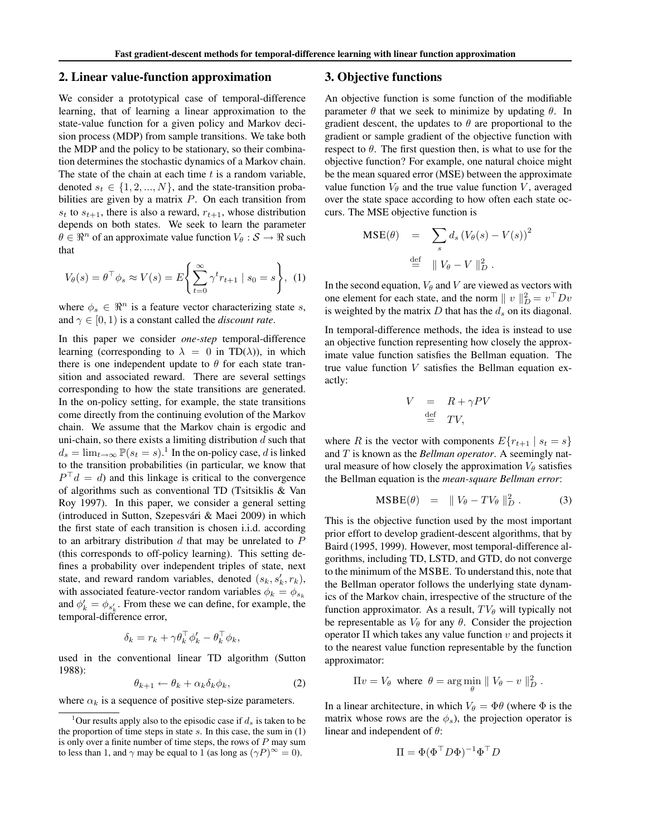#### 2. Linear value-function approximation

We consider a prototypical case of temporal-difference learning, that of learning a linear approximation to the state-value function for a given policy and Markov decision process (MDP) from sample transitions. We take both the MDP and the policy to be stationary, so their combination determines the stochastic dynamics of a Markov chain. The state of the chain at each time  $t$  is a random variable, denoted  $s_t \in \{1, 2, ..., N\}$ , and the state-transition probabilities are given by a matrix  $P$ . On each transition from  $s_t$  to  $s_{t+1}$ , there is also a reward,  $r_{t+1}$ , whose distribution depends on both states. We seek to learn the parameter  $\theta \in \mathbb{R}^n$  of an approximate value function  $V_\theta : \mathcal{S} \to \mathbb{R}$  such that

$$
V_{\theta}(s) = \theta^{\top} \phi_s \approx V(s) = E \left\{ \sum_{t=0}^{\infty} \gamma^t r_{t+1} \mid s_0 = s \right\}, \tag{1}
$$

where  $\phi_s \in \mathbb{R}^n$  is a feature vector characterizing state s, and  $\gamma \in [0, 1)$  is a constant called the *discount rate*.

In this paper we consider *one-step* temporal-difference learning (corresponding to  $\lambda = 0$  in TD( $\lambda$ )), in which there is one independent update to  $\theta$  for each state transition and associated reward. There are several settings corresponding to how the state transitions are generated. In the on-policy setting, for example, the state transitions come directly from the continuing evolution of the Markov chain. We assume that the Markov chain is ergodic and uni-chain, so there exists a limiting distribution  $d$  such that  $d_s = \lim_{t \to \infty} \mathbb{P}(s_t = s)$ .<sup>1</sup> In the on-policy case, d is linked to the transition probabilities (in particular, we know that  $P<sup>T</sup>d = d$ ) and this linkage is critical to the convergence of algorithms such as conventional TD (Tsitsiklis & Van Roy 1997). In this paper, we consider a general setting (introduced in Sutton, Szepesvari & Maei 2009) in which ´ the first state of each transition is chosen i.i.d. according to an arbitrary distribution  $d$  that may be unrelated to  $P$ (this corresponds to off-policy learning). This setting defines a probability over independent triples of state, next state, and reward random variables, denoted  $(s_k, s'_k, r_k)$ , with associated feature-vector random variables  $\phi_k = \phi_{s_k}$ and  $\phi'_k = \phi_{s'_k}$ . From these we can define, for example, the temporal-difference error,

$$
\delta_k = r_k + \gamma \theta_k^{\top} \phi'_k - \theta_k^{\top} \phi_k,
$$

used in the conventional linear TD algorithm (Sutton 1988):

$$
\theta_{k+1} \leftarrow \theta_k + \alpha_k \delta_k \phi_k, \tag{2}
$$

where  $\alpha_k$  is a sequence of positive step-size parameters.

### 3. Objective functions

An objective function is some function of the modifiable parameter  $\theta$  that we seek to minimize by updating  $\theta$ . In gradient descent, the updates to  $\theta$  are proportional to the gradient or sample gradient of the objective function with respect to  $\theta$ . The first question then, is what to use for the objective function? For example, one natural choice might be the mean squared error (MSE) between the approximate value function  $V_\theta$  and the true value function V, averaged over the state space according to how often each state occurs. The MSE objective function is

$$
\begin{array}{rcl} \text{MSE}(\theta) & = & \sum_{s} d_s \left( V_{\theta}(s) - V(s) \right)^2 \\ \stackrel{\text{def}}{=} & \parallel V_{\theta} - V \parallel_{D}^{2} .\end{array}
$$

In the second equation,  $V_\theta$  and V are viewed as vectors with one element for each state, and the norm  $|| v ||_D^2 = v^\top Dv$ is weighted by the matrix  $D$  that has the  $d_s$  on its diagonal.

In temporal-difference methods, the idea is instead to use an objective function representing how closely the approximate value function satisfies the Bellman equation. The true value function V satisfies the Bellman equation exactly:

$$
V = R + \gamma PV
$$
  

$$
\stackrel{\text{def}}{=} TV,
$$

where R is the vector with components  $E\{r_{t+1} | s_t = s\}$ and T is known as the *Bellman operator*. A seemingly natural measure of how closely the approximation  $V_\theta$  satisfies the Bellman equation is the *mean-square Bellman error*:

$$
\text{MSBE}(\theta) = ||V_{\theta} - TV_{\theta}||_{D}^{2}. \tag{3}
$$

This is the objective function used by the most important prior effort to develop gradient-descent algorithms, that by Baird (1995, 1999). However, most temporal-difference algorithms, including TD, LSTD, and GTD, do not converge to the minimum of the MSBE. To understand this, note that the Bellman operator follows the underlying state dynamics of the Markov chain, irrespective of the structure of the function approximator. As a result,  $TV_{\theta}$  will typically not be representable as  $V_{\theta}$  for any  $\theta$ . Consider the projection operator  $\Pi$  which takes any value function v and projects it to the nearest value function representable by the function approximator:

$$
\Pi v = V_{\theta} \text{ where } \theta = \arg\min_{\theta} \| V_{\theta} - v \|_{D}^{2}.
$$

In a linear architecture, in which  $V_{\theta} = \Phi \theta$  (where  $\Phi$  is the matrix whose rows are the  $\phi_s$ ), the projection operator is linear and independent of  $\theta$ :

$$
\Pi = \Phi(\Phi^{\top} D \Phi)^{-1} \Phi^{\top} D
$$

<sup>&</sup>lt;sup>1</sup>Our results apply also to the episodic case if  $d_s$  is taken to be the proportion of time steps in state  $s$ . In this case, the sum in  $(1)$ is only over a finite number of time steps, the rows of  $P$  may sum to less than 1, and  $\gamma$  may be equal to 1 (as long as  $(\gamma P)^\infty = 0$ ).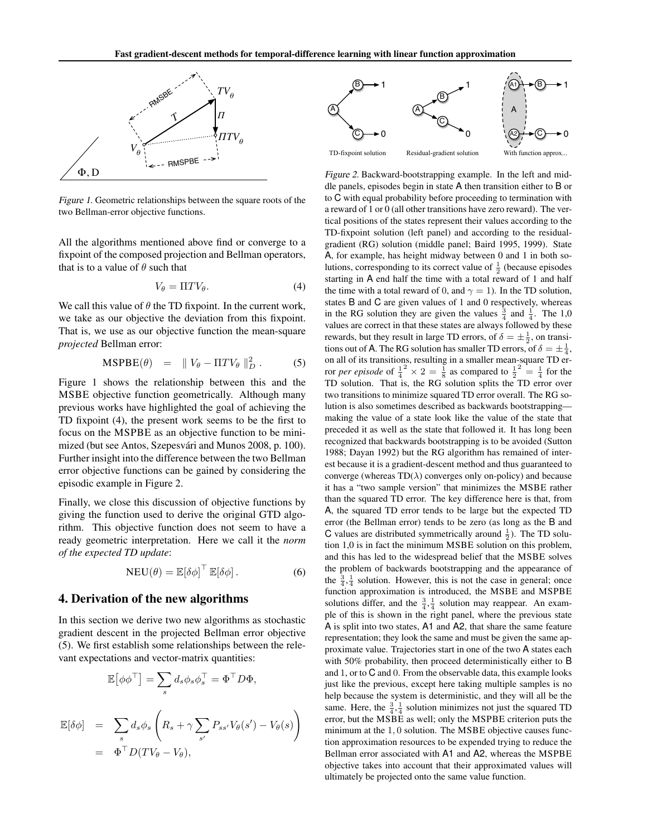

*Figure 1.* Geometric relationships between the square roots of the two Bellman-error objective functions.

All the algorithms mentioned above find or converge to a fixpoint of the composed projection and Bellman operators, that is to a value of  $\theta$  such that

$$
V_{\theta} = \Pi T V_{\theta}.
$$
 (4)

We call this value of  $\theta$  the TD fixpoint. In the current work, we take as our objective the deviation from this fixpoint. That is, we use as our objective function the mean-square *projected* Bellman error:

$$
\text{MSPBE}(\theta) = \| V_{\theta} - \Pi T V_{\theta} \|_{D}^{2} . \tag{5}
$$

Figure 1 shows the relationship between this and the MSBE objective function geometrically. Although many previous works have highlighted the goal of achieving the TD fixpoint (4), the present work seems to be the first to focus on the MSPBE as an objective function to be minimized (but see Antos, Szepesvári and Munos 2008, p. 100). Further insight into the difference between the two Bellman error objective functions can be gained by considering the episodic example in Figure 2.

Finally, we close this discussion of objective functions by giving the function used to derive the original GTD algorithm. This objective function does not seem to have a ready geometric interpretation. Here we call it the *norm of the expected TD update*:

$$
NEU(\theta) = \mathbb{E}[\delta \phi]^{T} \mathbb{E}[\delta \phi]. \tag{6}
$$

### 4. Derivation of the new algorithms

In this section we derive two new algorithms as stochastic gradient descent in the projected Bellman error objective (5). We first establish some relationships between the relevant expectations and vector-matrix quantities:

$$
\mathbb{E}[\phi \phi^{\top}] = \sum_{s} d_{s} \phi_{s} \phi_{s}^{\top} = \Phi^{\top} D \Phi,
$$
  

$$
\mathbb{E}[\delta \phi] = \sum_{s} d_{s} \phi_{s} \left( R_{s} + \gamma \sum_{s'} P_{ss'} V_{\theta}(s') - V_{\theta}(s) \right)
$$
  

$$
= \Phi^{\top} D(T V_{\theta} - V_{\theta}),
$$



*Figure 2.* Backward-bootstrapping example. In the left and middle panels, episodes begin in state A then transition either to B or to C with equal probability before proceeding to termination with a reward of 1 or 0 (all other transitions have zero reward). The vertical positions of the states represent their values according to the TD-fixpoint solution (left panel) and according to the residualgradient (RG) solution (middle panel; Baird 1995, 1999). State A, for example, has height midway between 0 and 1 in both solutions, corresponding to its correct value of  $\frac{1}{2}$  (because episodes starting in A end half the time with a total reward of 1 and half the time with a total reward of 0, and  $\gamma = 1$ ). In the TD solution, states B and C are given values of 1 and 0 respectively, whereas in the RG solution they are given the values  $\frac{3}{4}$  and  $\frac{1}{4}$ . The 1,0 values are correct in that these states are always followed by these rewards, but they result in large TD errors, of  $\delta = \pm \frac{1}{2}$ , on transitions out of A. The RG solution has smaller TD errors, of  $\delta = \pm \frac{1}{4}$ , on all of its transitions, resulting in a smaller mean-square TD error *per episode* of  $\frac{1}{4}^2 \times 2 = \frac{1}{8}$  as compared to  $\frac{1}{2}^2 = \frac{1}{4}$  for the TD solution. That is, the RG solution splits the TD error over two transitions to minimize squared TD error overall. The RG solution is also sometimes described as backwards bootstrapping making the value of a state look like the value of the state that preceded it as well as the state that followed it. It has long been recognized that backwards bootstrapping is to be avoided (Sutton 1988; Dayan 1992) but the RG algorithm has remained of interest because it is a gradient-descent method and thus guaranteed to converge (whereas  $TD(\lambda)$  converges only on-policy) and because it has a "two sample version" that minimizes the MSBE rather than the squared TD error. The key difference here is that, from A, the squared TD error tends to be large but the expected TD error (the Bellman error) tends to be zero (as long as the B and C values are distributed symmetrically around  $\frac{1}{2}$ ). The TD solution 1,0 is in fact the minimum MSBE solution on this problem, and this has led to the widespread belief that the MSBE solves the problem of backwards bootstrapping and the appearance of the  $\frac{3}{4}, \frac{1}{4}$  solution. However, this is not the case in general; once function approximation is introduced, the MSBE and MSPBE solutions differ, and the  $\frac{3}{4}$ ,  $\frac{1}{4}$  solution may reappear. An example of this is shown in the right panel, where the previous state A is split into two states, A1 and A2, that share the same feature representation; they look the same and must be given the same approximate value. Trajectories start in one of the two A states each with 50% probability, then proceed deterministically either to B and 1, or to C and 0. From the observable data, this example looks just like the previous, except here taking multiple samples is no help because the system is deterministic, and they will all be the same. Here, the  $\frac{3}{4}$ ,  $\frac{1}{4}$  solution minimizes not just the squared TD error, but the MSBE as well; only the MSPBE criterion puts the minimum at the 1, 0 solution. The MSBE objective causes function approximation resources to be expended trying to reduce the Bellman error associated with A1 and A2, whereas the MSPBE objective takes into account that their approximated values will ultimately be projected onto the same value function.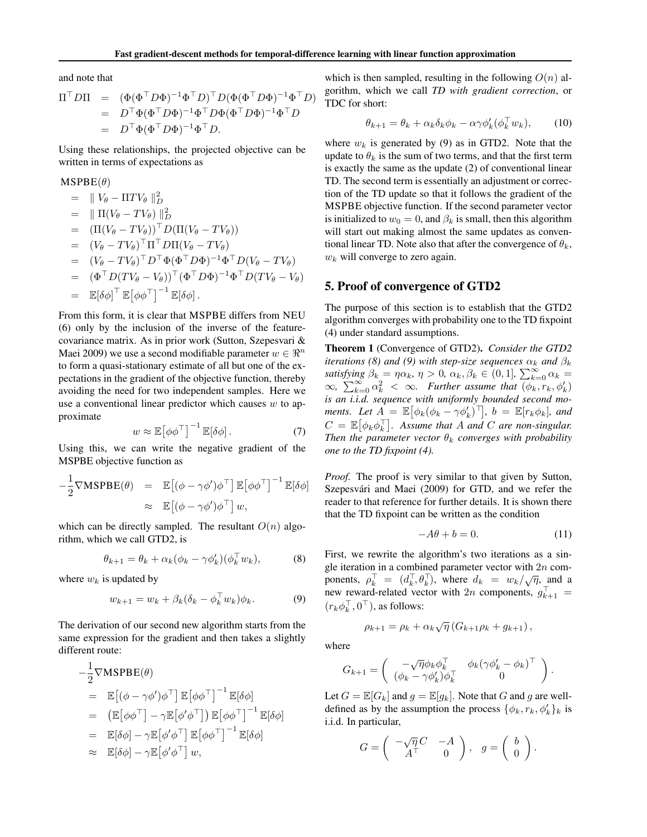and note that

$$
\Pi^{\top} D\Pi = (\Phi(\Phi^{\top} D\Phi)^{-1} \Phi^{\top} D)^{\top} D(\Phi(\Phi^{\top} D\Phi)^{-1} \Phi^{\top} D)
$$
  
=  $D^{\top} \Phi(\Phi^{\top} D\Phi)^{-1} \Phi^{\top} D\Phi(\Phi^{\top} D\Phi)^{-1} \Phi^{\top} D$   
=  $D^{\top} \Phi(\Phi^{\top} D\Phi)^{-1} \Phi^{\top} D$ .

Using these relationships, the projected objective can be written in terms of expectations as

#### $MSPBE(\theta)$

 $=$   $\parallel V_{\theta} - \Pi T V_{\theta} \parallel_{D}^{2}$  $= \| \Pi(V_{\theta} - TV_{\theta}) \|_{D}^{2}$  $= (\Pi(V_\theta - TV_\theta))^\top D(\Pi(V_\theta - TV_\theta))$  $= (V_{\theta} - TV_{\theta})^{\top} \Pi^{\top} D \Pi (V_{\theta} - TV_{\theta})$ =  $(V_{\theta} - TV_{\theta})^{\top} D^{\top} \Phi (\Phi^{\top} D \Phi)^{-1} \Phi^{\top} D (V_{\theta} - TV_{\theta})$ =  $(\Phi^{\top} D(TV_{\theta} - V_{\theta}))^{\top} (\Phi^{\top} D \Phi)^{-1} \Phi^{\top} D(TV_{\theta} - V_{\theta})$  $= \mathbb{E}[\delta \phi]^\top \, \mathbb{E} \big[ \phi \phi^\top \big]^{-1} \, \mathbb{E}[\delta \phi] \,.$ 

From this form, it is clear that MSPBE differs from NEU (6) only by the inclusion of the inverse of the featurecovariance matrix. As in prior work (Sutton, Szepesvari & Maei 2009) we use a second modifiable parameter  $w \in \mathbb{R}^n$ to form a quasi-stationary estimate of all but one of the expectations in the gradient of the objective function, thereby avoiding the need for two independent samples. Here we use a conventional linear predictor which causes  $w$  to approximate

$$
w \approx \mathbb{E} \left[ \phi \phi^{\top} \right]^{-1} \mathbb{E} [\delta \phi]. \tag{7}
$$

Using this, we can write the negative gradient of the MSPBE objective function as

$$
-\frac{1}{2}\nabla\mathbf{M}\mathbf{SPBE}(\theta) = \mathbb{E}[(\phi - \gamma\phi')\phi^{\top}] \mathbb{E}[\phi\phi^{\top}]^{-1} \mathbb{E}[\delta\phi]
$$
  

$$
\approx \mathbb{E}[(\phi - \gamma\phi')\phi^{\top}] w,
$$

which can be directly sampled. The resultant  $O(n)$  algorithm, which we call GTD2, is

$$
\theta_{k+1} = \theta_k + \alpha_k (\phi_k - \gamma \phi'_k)(\phi_k^\top w_k), \tag{8}
$$

where  $w_k$  is updated by

$$
w_{k+1} = w_k + \beta_k (\delta_k - \phi_k^\top w_k) \phi_k.
$$
 (9)

The derivation of our second new algorithm starts from the same expression for the gradient and then takes a slightly different route:

$$
-\frac{1}{2}\nabla MSPBE(\theta)
$$
  
=  $\mathbb{E}[(\phi - \gamma\phi')\phi^{\top}] \mathbb{E}[\phi\phi^{\top}]^{-1} \mathbb{E}[\delta\phi]$   
=  $(\mathbb{E}[\phi\phi^{\top}] - \gamma \mathbb{E}[\phi'\phi^{\top}]) \mathbb{E}[\phi\phi^{\top}]^{-1} \mathbb{E}[\delta\phi]$   
=  $\mathbb{E}[\delta\phi] - \gamma \mathbb{E}[\phi'\phi^{\top}] \mathbb{E}[\phi\phi^{\top}]^{-1} \mathbb{E}[\delta\phi]$   
 $\approx \mathbb{E}[\delta\phi] - \gamma \mathbb{E}[\phi'\phi^{\top}] w,$ 

which is then sampled, resulting in the following  $O(n)$  algorithm, which we call *TD with gradient correction*, or TDC for short:

$$
\theta_{k+1} = \theta_k + \alpha_k \delta_k \phi_k - \alpha \gamma \phi'_k (\phi_k^{\top} w_k), \qquad (10)
$$

where  $w_k$  is generated by (9) as in GTD2. Note that the update to  $\theta_k$  is the sum of two terms, and that the first term is exactly the same as the update (2) of conventional linear TD. The second term is essentially an adjustment or correction of the TD update so that it follows the gradient of the MSPBE objective function. If the second parameter vector is initialized to  $w_0 = 0$ , and  $\beta_k$  is small, then this algorithm will start out making almost the same updates as conventional linear TD. Note also that after the convergence of  $\theta_k$ ,  $w_k$  will converge to zero again.

#### 5. Proof of convergence of GTD2

The purpose of this section is to establish that the GTD2 algorithm converges with probability one to the TD fixpoint (4) under standard assumptions.

Theorem 1 (Convergence of GTD2). *Consider the GTD2 iterations (8) and (9) with step-size sequences*  $\alpha_k$  *and*  $\beta_k$ *satisfying*  $\beta_k = \eta \alpha_k$ ,  $\eta > 0$ ,  $\alpha_k$ ,  $\beta_k \in (0, 1]$ ,  $\sum_{k=0}^{\infty} \alpha_k =$  $\infty$ ,  $\sum_{k=0}^{\infty} \alpha_k^2 < \infty$ . Further assume that  $\overline{(\phi_k, r_k, \phi'_k)}$ *is an i.i.d. sequence with uniformly bounded second moments.* Let  $A = \mathbb{E} [\phi_k(\phi_k - \gamma \phi'_k)^T]$ ,  $b = \mathbb{E}[r_k \phi_k]$ , and  $C = \mathbb{E} \big[ \phi_k \phi_k^{\top} \big]$ . Assume that A and C are non-singular. *Then the parameter vector*  $\theta_k$  *converges with probability one to the TD fixpoint (4).*

*Proof.* The proof is very similar to that given by Sutton, Szepesvári and Maei (2009) for GTD, and we refer the reader to that reference for further details. It is shown there that the TD fixpoint can be written as the condition

$$
-A\theta + b = 0.\t(11)
$$

First, we rewrite the algorithm's two iterations as a single iteration in a combined parameter vector with  $2n$  components,  $\rho_k^{\top} = (d_k^{\top}, \theta_k^{\top})$ , where  $d_k = w_k / \sqrt{\eta}$ , and a new reward-related vector with 2n components,  $g_{k+1}^{\perp} =$  $(r_k \phi_k^+, 0^+)$ , as follows:

$$
\rho_{k+1} = \rho_k + \alpha_k \sqrt{\eta} (G_{k+1} \rho_k + g_{k+1}),
$$

where

$$
G_{k+1} = \begin{pmatrix} -\sqrt{\eta} \phi_k \phi_k^\top & \phi_k (\gamma \phi_k' - \phi_k)^\top \\ (\phi_k - \gamma \phi_k') \phi_k^\top & 0 \end{pmatrix}.
$$

Let  $G = \mathbb{E}[G_k]$  and  $g = \mathbb{E}[g_k]$ . Note that G and g are welldefined as by the assumption the process  $\{\phi_k, r_k, \phi'_k\}_k$  is i.i.d. In particular,

$$
G = \begin{pmatrix} -\sqrt{\eta} C & -A \\ A^\top & 0 \end{pmatrix}, \quad g = \begin{pmatrix} b \\ 0 \end{pmatrix}.
$$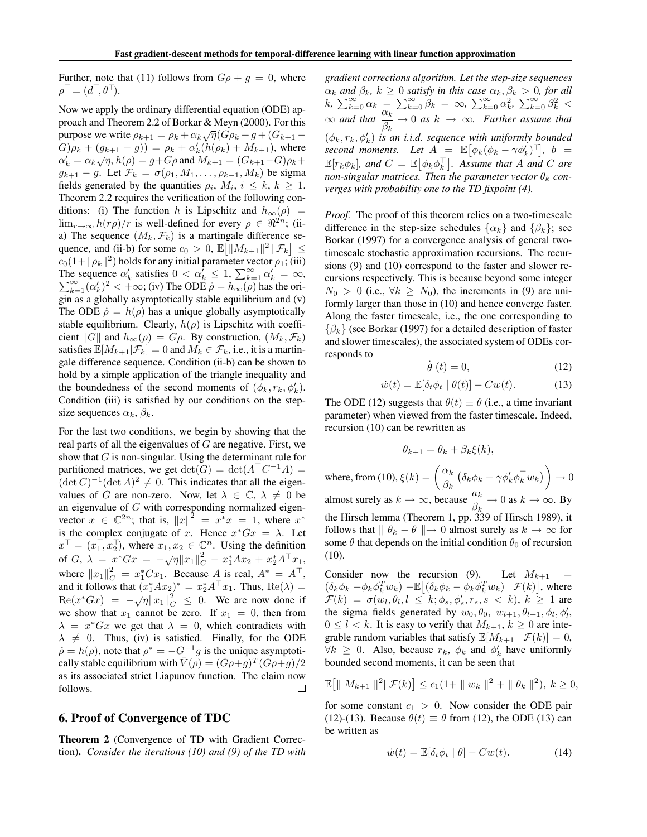Further, note that (11) follows from  $G \rho + g = 0$ , where  $\rho^{\top} = (d^{\top}, \theta^{\top}).$ 

Now we apply the ordinary differential equation (ODE) approach and Theorem 2.2 of Borkar & Meyn (2000). For this purpose we write  $\rho_{k+1} = \rho_k + \alpha_k \sqrt{\eta} (G \rho_k + g + (G_{k+1} G(\rho_k + (g_{k+1} - g)) = \rho_k + \alpha'_k(h(\rho_k) + M_{k+1}),$  where  $\alpha'_{k} = \alpha_{k}\sqrt{\eta}, h(\rho) = g + G\rho$  and  $M_{k+1} = (G_{k+1} - G)\rho_{k} +$  $g_{k+1} - g$ . Let  $\mathcal{F}_k = \sigma(\rho_1, M_1, \dots, \rho_{k-1}, M_k)$  be sigma fields generated by the quantities  $\rho_i$ ,  $M_i$ ,  $i \leq k$ ,  $k \geq 1$ . Theorem 2.2 requires the verification of the following conditions: (i) The function h is Lipschitz and  $h_{\infty}(\rho)$  =  $\lim_{r\to\infty} h(r\rho)/r$  is well-defined for every  $\rho \in \mathbb{R}^{2n}$ ; (iia) The sequence  $(M_k, \mathcal{F}_k)$  is a martingale difference sequence, and (ii-b) for some  $c_0 > 0$ ,  $\mathbb{E} \left[ \left\| M_{k+1} \right\|^2 | \mathcal{F}_k \right] \leq$  $c_0(1+\|\rho_k\|^2)$  holds for any initial parameter vector  $\rho_1$ ; (iii) The sequence  $\alpha'_k$  satisfies  $0 < \alpha'_k \leq 1$ ,  $\sum_{k=1}^{\infty} \alpha'_k = \infty$ ,<br> $\sum_{k=1}^{\infty} (\alpha'_k)^2 < +\infty$ ; (iv) The ODE  $\alpha = h_{k-1}(\alpha)$  has the ori- $\sum_{k=1}^{\infty} (\alpha'_k)^2 < +\infty$ ; (iv) The ODE  $\rho = h_{\infty}(\rho)$  has the origin as a globally asymptotically stable equilibrium and (v) The ODE  $\dot{\rho} = h(\rho)$  has a unique globally asymptotically stable equilibrium. Clearly,  $h(\rho)$  is Lipschitz with coefficient  $||G||$  and  $h_{\infty}(\rho) = G\rho$ . By construction,  $(M_k, \mathcal{F}_k)$ satisfies  $\mathbb{E}[M_{k+1}|\mathcal{F}_k]=0$  and  $M_k \in \mathcal{F}_k$ , i.e., it is a martingale difference sequence. Condition (ii-b) can be shown to hold by a simple application of the triangle inequality and the boundedness of the second moments of  $(\phi_k, r_k, \phi'_k)$ . Condition (iii) is satisfied by our conditions on the stepsize sequences  $\alpha_k$ ,  $\beta_k$ .

For the last two conditions, we begin by showing that the real parts of all the eigenvalues of  $G$  are negative. First, we show that G is non-singular. Using the determinant rule for partitioned matrices, we get  $\det(G) = \det(A^\top C^{-1}A) =$  $(\det C)^{-1} (\det A)^2 \neq 0$ . This indicates that all the eigenvalues of G are non-zero. Now, let  $\lambda \in \mathbb{C}, \lambda \neq 0$  be an eigenvalue of  $G$  with corresponding normalized eigenvector  $x \in \mathbb{C}^{2n}$ ; that is,  $||x||^2 = x^*x = 1$ , where  $x^*$ is the complex conjugate of x. Hence  $x^*Gx = \lambda$ . Let  $x^{\top} = (x_1^{\top}, x_2^{\top})$ , where  $x_1, x_2 \in \mathbb{C}^n$ . Using the definition of G,  $\lambda = x^*Gx = -\sqrt{\eta} ||x_1||_C^2 - x_1^*Ax_2 + x_2^*A^\top x_1$ , where  $||x_1||_C^2 = x_1^* C x_1$ . Because A is real,  $A^* = A^{\top}$ , and it follows that  $(x_1^*Ax_2)^* = x_2^*A^{\dagger}x_1$ . Thus,  $Re(\lambda) =$  $\text{Re}(x^*Gx) = -\sqrt{\eta} \|x_1\|_C^2 \leq 0$ . We are now done if we show that  $x_1$  cannot be zero. If  $x_1 = 0$ , then from  $\lambda = x^*Gx$  we get that  $\lambda = 0$ , which contradicts with  $\lambda \neq 0$ . Thus, (iv) is satisfied. Finally, for the ODE  $\dot{\rho} = h(\rho)$ , note that  $\rho^* = -G^{-1}g$  is the unique asymptotically stable equilibrium with  $\bar{V}(\rho)=(G\rho+g)^T(G\rho+g)/2$ as its associated strict Liapunov function. The claim now follows. □

### 6. Proof of Convergence of TDC

Theorem 2 (Convergence of TD with Gradient Correction). *Consider the iterations (10) and (9) of the TD with* *gradient corrections algorithm. Let the step-size sequences*  $\alpha_k$  *and*  $\beta_k$ ,  $k \geq 0$  *satisfy in this case*  $\alpha_k$ ,  $\beta_k > 0$ *, for all* k,  $\sum_{k=0}^{\infty} \alpha_k = \sum_{k=0}^{\infty} \beta_k = \infty$ ,  $\sum_{k=0}^{\infty} \alpha_k^2$ ,  $\sum_{k=0}^{\infty} \beta_k^2$  $\infty$  and that  $\frac{\alpha_k}{\beta_k} \to 0$  as  $k \to \infty$ . Further assume that  $(\phi_k, r_k, \phi'_k)$  *is an i.i.d. sequence with uniformly bounded*  $second$  moments. Let  $A = \mathbb{E} [\phi_k(\phi_k - \gamma \phi'_k)^T], b =$  $\mathbb{E}[r_k \phi_k]$ , and  $C = \mathbb{E}[\phi_k \phi_k^{\top}]$ . Assume that A and C are *non-singular matrices. Then the parameter vector*  $\theta_k$  *converges with probability one to the TD fixpoint (4).*

*Proof.* The proof of this theorem relies on a two-timescale difference in the step-size schedules  $\{\alpha_k\}$  and  $\{\beta_k\}$ ; see Borkar (1997) for a convergence analysis of general twotimescale stochastic approximation recursions. The recursions (9) and (10) correspond to the faster and slower recursions respectively. This is because beyond some integer  $N_0 > 0$  (i.e.,  $\forall k \ge N_0$ ), the increments in (9) are uniformly larger than those in (10) and hence converge faster. Along the faster timescale, i.e., the one corresponding to  $\{\beta_k\}$  (see Borkar (1997) for a detailed description of faster and slower timescales), the associated system of ODEs corresponds to

$$
\dot{\theta}(t) = 0,\t(12)
$$

$$
\dot{w}(t) = \mathbb{E}[\delta_t \phi_t \mid \theta(t)] - Cw(t). \tag{13}
$$

The ODE (12) suggests that  $\theta(t) \equiv \theta$  (i.e., a time invariant parameter) when viewed from the faster timescale. Indeed, recursion (10) can be rewritten as

$$
\theta_{k+1} = \theta_k + \beta_k \xi(k),
$$

where, from (10),  $\xi(k) = \left(\frac{\alpha_k}{\beta_k}\right)$  $\left(\delta_k \phi_k - \gamma \phi_k' \phi_k^\top w_k\right)$  $\rightarrow 0$ almost surely as  $k \to \infty$ , because  $\frac{a_k}{\beta_k} \to 0$  as  $k \to \infty$ . By the Hirsch lemma (Theorem 1, pp. 339 of Hirsch 1989), it follows that  $|| \theta_k - \theta || \rightarrow 0$  almost surely as  $k \rightarrow \infty$  for some  $\theta$  that depends on the initial condition  $\theta_0$  of recursion (10).

Consider now the recursion (9). Let  $M_{k+1}$  =  $(\delta_k \phi_k - \phi_k \phi_k^T w_k) - \mathbb{E} \left[ (\delta_k \phi_k - \phi_k \phi_k^T w_k) \mid \mathcal{F}(k) \right]$ , where  $\mathcal{F}(k) = \sigma(w_l, \theta_l, l \leq k; \phi_s, \phi'_s, r_s, s \leq k), k \geq 1$  are the sigma fields generated by  $w_0, \theta_0, w_{l+1}, \theta_{l+1}, \phi_l, \phi'_l$ ,  $0 \leq l < k$ . It is easy to verify that  $M_{k+1}$ ,  $k \geq 0$  are integrable random variables that satisfy  $\mathbb{E}[M_{k+1} | \mathcal{F}(k)] = 0$ ,  $\forall k \geq 0$ . Also, because  $r_k$ ,  $\phi_k$  and  $\phi'_k$  have uniformly bounded second moments, it can be seen that

$$
\mathbb{E}\big[\|M_{k+1}\|^2|\mathcal{F}(k)\big] \le c_1(1+\|w_k\|^2+\|\theta_k\|^2), \ k \ge 0,
$$

for some constant  $c_1 > 0$ . Now consider the ODE pair (12)-(13). Because  $\theta(t) \equiv \theta$  from (12), the ODE (13) can be written as

$$
\dot{w}(t) = \mathbb{E}[\delta_t \phi_t \mid \theta] - Cw(t). \tag{14}
$$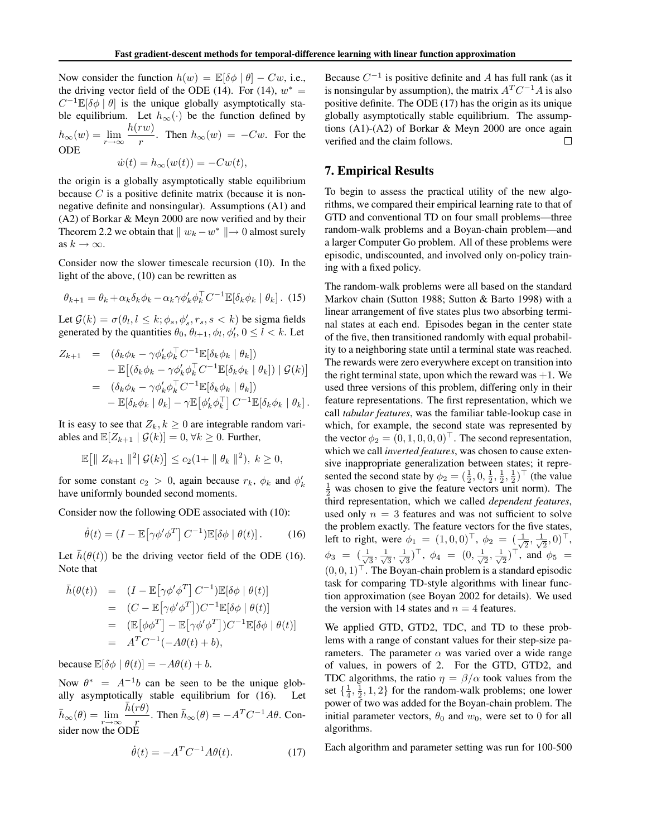Now consider the function  $h(w) = \mathbb{E}[\delta \phi | \theta] - Cw$ , i.e., the driving vector field of the ODE (14). For (14),  $w^* =$  $C^{-1}\mathbb{E}[\delta\phi | \theta]$  is the unique globally asymptotically stable equilibrium. Let  $h_{\infty}(\cdot)$  be the function defined by ble equilibrium. Let  $h_{\infty}(\cdot)$  be the function defined by  $h_{\infty}(w) = \lim_{r \to \infty} \frac{h(rw)}{r}$  $\frac{r(w)}{r}$ . Then  $h_{\infty}(w) = -Cw$ . For the ODE

$$
\dot{w}(t) = h_{\infty}(w(t)) = -Cw(t),
$$

the origin is a globally asymptotically stable equilibrium because  $C$  is a positive definite matrix (because it is nonnegative definite and nonsingular). Assumptions (A1) and (A2) of Borkar & Meyn 2000 are now verified and by their Theorem 2.2 we obtain that  $|| w_k - w^* || \rightarrow 0$  almost surely as  $k \to \infty$ .

Consider now the slower timescale recursion (10). In the light of the above, (10) can be rewritten as

$$
\theta_{k+1} = \theta_k + \alpha_k \delta_k \phi_k - \alpha_k \gamma \phi'_k \phi_k^\top C^{-1} \mathbb{E} [\delta_k \phi_k \mid \theta_k].
$$
 (15)

Let  $\mathcal{G}(k) = \sigma(\theta_l, l \leq k; \phi_s, \phi'_s, r_s, s < k)$  be sigma fields generated by the quantities  $\theta_0$ ,  $\theta_{l+1}$ ,  $\phi_l$ ,  $\phi'_l$ ,  $0 \le l < k$ . Let

$$
Z_{k+1} = (\delta_k \phi_k - \gamma \phi'_k \phi_k^{\top} C^{-1} \mathbb{E} [\delta_k \phi_k \mid \theta_k])
$$
  
\n
$$
- \mathbb{E} [(\delta_k \phi_k - \gamma \phi'_k \phi_k^{\top} C^{-1} \mathbb{E} [\delta_k \phi_k \mid \theta_k]) \mid \mathcal{G}(k)]
$$
  
\n
$$
= (\delta_k \phi_k - \gamma \phi'_k \phi_k^{\top} C^{-1} \mathbb{E} [\delta_k \phi_k \mid \theta_k])
$$
  
\n
$$
- \mathbb{E} [\delta_k \phi_k \mid \theta_k] - \gamma \mathbb{E} [\phi'_k \phi_k^{\top} \mid C^{-1} \mathbb{E} [\delta_k \phi_k \mid \theta_k].
$$

It is easy to see that  $Z_k, k \geq 0$  are integrable random variables and  $\mathbb{E}[Z_{k+1} | \mathcal{G}(k)] = 0, \forall k \geq 0$ . Further,

$$
\mathbb{E}\big[\|\ Z_{k+1}\|^2\|\mathcal{G}(k)\big]\leq c_2(1+\|\theta_k\|^2),\ k\geq 0,
$$

for some constant  $c_2 > 0$ , again because  $r_k$ ,  $\phi_k$  and  $\phi'_k$ have uniformly bounded second moments.

Consider now the following ODE associated with (10):

$$
\dot{\theta}(t) = (I - \mathbb{E}[\gamma \phi' \phi^T] C^{-1}) \mathbb{E}[\delta \phi \mid \theta(t)]. \quad (16)
$$

Let  $\bar{h}(\theta(t))$  be the driving vector field of the ODE (16). Note that

$$
\bar{h}(\theta(t)) = (I - \mathbb{E}[\gamma \phi' \phi^T] C^{-1}) \mathbb{E}[\delta \phi | \theta(t)]
$$
  
\n
$$
= (C - \mathbb{E}[\gamma \phi' \phi^T]) C^{-1} \mathbb{E}[\delta \phi | \theta(t)]
$$
  
\n
$$
= (\mathbb{E}[\phi \phi^T] - \mathbb{E}[\gamma \phi' \phi^T]) C^{-1} \mathbb{E}[\delta \phi | \theta(t)]
$$
  
\n
$$
= A^T C^{-1}(-A\theta(t) + b),
$$

because  $\mathbb{E}[\delta \phi | \theta(t)] = -A\theta(t) + b$ .

Now  $\theta^* = A^{-1}b$  can be seen to be the unique globally asymptotically stable equilibrium for  $(16)$ .  $\bar{h}_{\infty}(\theta) = \lim_{r \to \infty} \frac{\bar{h}(r\theta)}{r}$  $\frac{r\sigma}{r}$ . Then  $\bar{h}_{\infty}(\theta) = -A^{T}C^{-1}A\theta$ . Consider now the ODE

$$
\dot{\theta}(t) = -A^T C^{-1} A\theta(t). \tag{17}
$$

Because  $C^{-1}$  is positive definite and A has full rank (as it is nonsingular by assumption), the matrix  $A<sup>T</sup>C<sup>-1</sup>A$  is also positive definite. The ODE (17) has the origin as its unique globally asymptotically stable equilibrium. The assumptions (A1)-(A2) of Borkar & Meyn 2000 are once again verified and the claim follows.  $\Box$ 

## 7. Empirical Results

To begin to assess the practical utility of the new algorithms, we compared their empirical learning rate to that of GTD and conventional TD on four small problems—three random-walk problems and a Boyan-chain problem—and a larger Computer Go problem. All of these problems were episodic, undiscounted, and involved only on-policy training with a fixed policy.

The random-walk problems were all based on the standard Markov chain (Sutton 1988; Sutton & Barto 1998) with a linear arrangement of five states plus two absorbing terminal states at each end. Episodes began in the center state of the five, then transitioned randomly with equal probability to a neighboring state until a terminal state was reached. The rewards were zero everywhere except on transition into the right terminal state, upon which the reward was  $+1$ . We used three versions of this problem, differing only in their feature representations. The first representation, which we call *tabular features*, was the familiar table-lookup case in which, for example, the second state was represented by the vector  $\phi_2 = (0, 1, 0, 0, 0)^\top$ . The second representation, which we call *inverted features*, was chosen to cause extensive inappropriate generalization between states; it represented the second state by  $\phi_2 = (\frac{1}{2}, 0, \frac{1}{2}, \frac{1}{2}, \frac{1}{2})^\top$  (the value  $\frac{1}{2}$  was chosen to give the feature vectors unit norm). The third representation, which we called *dependent features*, used only  $n = 3$  features and was not sufficient to solve the problem exactly. The feature vectors for the five states, left to right, were  $\phi_1 = (1, 0, 0)^\top$ ,  $\phi_2 = (\frac{1}{\sqrt{2}}, \frac{1}{\sqrt{2}}, 0)^\top$ ,  $\phi_3 = (\frac{1}{\sqrt{3}}, \frac{1}{\sqrt{3}}, \frac{1}{\sqrt{3}})^\top, \ \phi_4 = (0, \frac{1}{\sqrt{2}}, \frac{1}{\sqrt{2}})^\top, \text{ and } \phi_5 =$  $(0, 0, 1)$ <sup>T</sup>. The Boyan-chain problem is a standard episodic task for comparing TD-style algorithms with linear function approximation (see Boyan 2002 for details). We used the version with 14 states and  $n = 4$  features.

We applied GTD, GTD2, TDC, and TD to these problems with a range of constant values for their step-size parameters. The parameter  $\alpha$  was varied over a wide range of values, in powers of 2. For the GTD, GTD2, and TDC algorithms, the ratio  $\eta = \beta/\alpha$  took values from the set  $\{\frac{1}{4}, \frac{1}{2}, 1, 2\}$  for the random-walk problems; one lower power of two was added for the Boyan-chain problem. The initial parameter vectors,  $\theta_0$  and  $w_0$ , were set to 0 for all algorithms.

Each algorithm and parameter setting was run for 100-500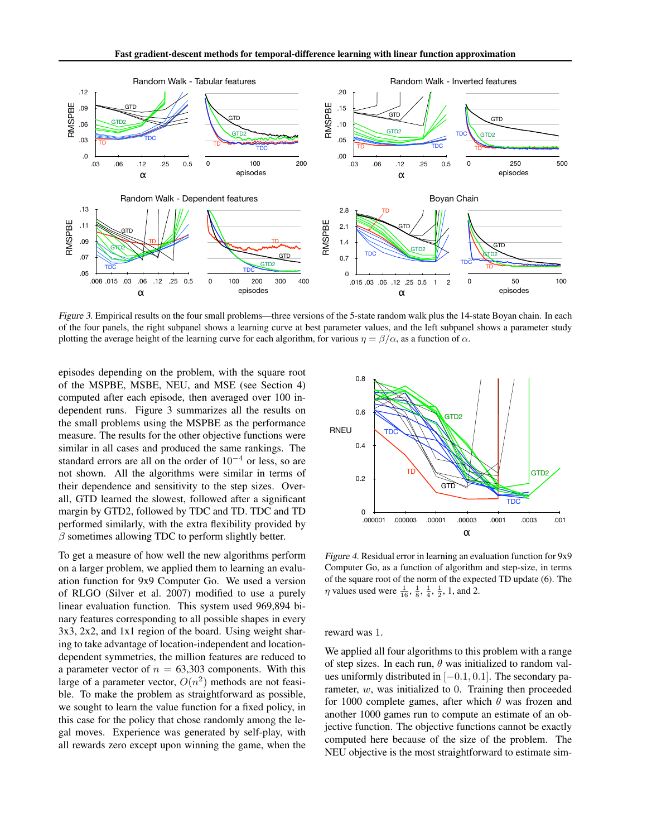

*Figure 3.* Empirical results on the four small problems—three versions of the 5-state random walk plus the 14-state Boyan chain. In each of the four panels, the right subpanel shows a learning curve at best parameter values, and the left subpanel shows a parameter study plotting the average height of the learning curve for each algorithm, for various  $\eta = \beta/\alpha$ , as a function of  $\alpha$ .

episodes depending on the problem, with the square root of the MSPBE, MSBE, NEU, and MSE (see Section 4) computed after each episode, then averaged over 100 independent runs. Figure 3 summarizes all the results on the small problems using the MSPBE as the performance measure. The results for the other objective functions were similar in all cases and produced the same rankings. The standard errors are all on the order of  $10^{-4}$  or less, so are not shown. All the algorithms were similar in terms of their dependence and sensitivity to the step sizes. Overall, GTD learned the slowest, followed after a significant margin by GTD2, followed by TDC and TD. TDC and TD performed similarly, with the extra flexibility provided by  $\beta$  sometimes allowing TDC to perform slightly better.

To get a measure of how well the new algorithms perform on a larger problem, we applied them to learning an evaluation function for 9x9 Computer Go. We used a version of RLGO (Silver et al. 2007) modified to use a purely linear evaluation function. This system used 969,894 binary features corresponding to all possible shapes in every 3x3, 2x2, and 1x1 region of the board. Using weight sharing to take advantage of location-independent and locationdependent symmetries, the million features are reduced to a parameter vector of  $n = 63,303$  components. With this large of a parameter vector,  $O(n^2)$  methods are not feasible. To make the problem as straightforward as possible, we sought to learn the value function for a fixed policy, in this case for the policy that chose randomly among the legal moves. Experience was generated by self-play, with all rewards zero except upon winning the game, when the



*Figure 4.* Residual error in learning an evaluation function for 9x9 Computer Go, as a function of algorithm and step-size, in terms of the square root of the norm of the expected TD update (6). The  $\eta$  values used were  $\frac{1}{16}$ ,  $\frac{1}{8}$ ,  $\frac{1}{4}$ ,  $\frac{1}{2}$ , 1, and 2.

reward was 1.

We applied all four algorithms to this problem with a range of step sizes. In each run,  $\theta$  was initialized to random values uniformly distributed in  $[-0.1, 0.1]$ . The secondary parameter,  $w$ , was initialized to 0. Training then proceeded for 1000 complete games, after which  $\theta$  was frozen and another 1000 games run to compute an estimate of an objective function. The objective functions cannot be exactly computed here because of the size of the problem. The NEU objective is the most straightforward to estimate sim-